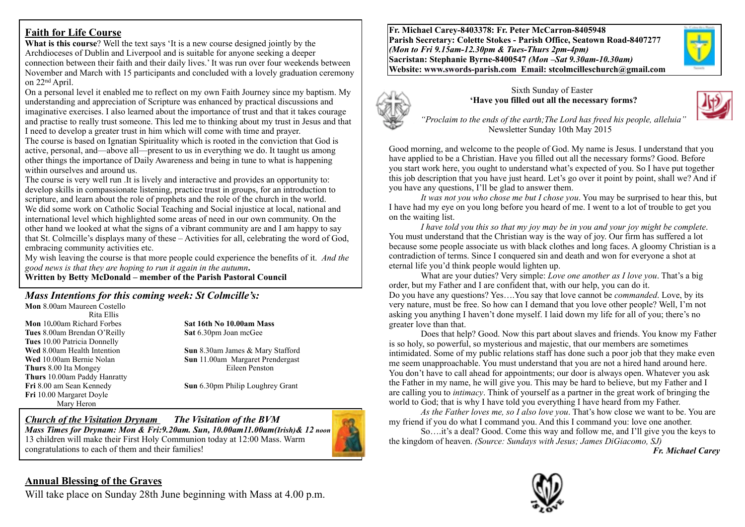### **Faith for Life Course**

**What is this course**? Well the text says 'It is a new course designed jointly by the Archdioceses of Dublin and Liverpool and is suitable for anyone seeking a deeper connection between their faith and their daily lives.' It was run over four weekends between November and March with 15 participants and concluded with a lovely graduation ceremony on 22nd April.

On a personal level it enabled me to reflect on my own Faith Journey since my baptism. My understanding and appreciation of Scripture was enhanced by practical discussions and imaginative exercises. I also learned about the importance of trust and that it takes courage and practise to really trust someone. This led me to thinking about my trust in Jesus and that I need to develop a greater trust in him which will come with time and prayer.

The course is based on Ignatian Spirituality which is rooted in the conviction that God is active, personal, and—above all—present to us in everything we do. It taught us among other things the importance of Daily Awareness and being in tune to what is happening within ourselves and around us.

The course is very well run .It is lively and interactive and provides an opportunity to: develop skills in compassionate listening, practice trust in groups, for an introduction to scripture, and learn about the role of prophets and the role of the church in the world. We did some work on Catholic Social Teaching and Social injustice at local, national and international level which highlighted some areas of need in our own community. On the other hand we looked at what the signs of a vibrant community are and I am happy to say that St. Colmcille's displays many of these – Activities for all, celebrating the word of God, embracing community activities etc.

My wish leaving the course is that more people could experience the benefits of it. *And the good news is that they are hoping to run it again in the autumn***.** 

**Written by Betty McDonald – member of the Parish Pastoral Council**

# *Mass Intentions for this coming week: St Colmcille's:*

**Mon** 8.00am Maureen Costello Rita Ellis **Mon** 10**.**00am Richard Forbes **Sat 16th No 10.00am Mass Tues** 8.00am Brendan O'Reilly **Sat** 6.30pm Joan mcGee **Tues** 10.00 Patricia Donnelly **Thurs** 8.00 Ita Mongey Eileen Penston **Thurs** 10.00am Paddy Hanratty **Fri** 10.00 Margaret Doyle Mary Heron

**Wed** 8.00am Health Intention **Sun** 8.30am James & Mary Stafford **Wed** 10.00am Bernie Nolan **Sun** 11.00am Margaret Prendergast

**Fri** 8.00 am Sean Kennedy **Sun** 6.30pm Philip Loughrey Grant

*Church of the Visitation Drynam**The Visitation of the BVM Mass Times for Drynam: Mon & Fri:9.20am. Sun, 10.00am11.00am(Irish)& 12 noon* 13 children will make their First Holy Communion today at 12:00 Mass. Warm congratulations to each of them and their families!



**Fr. Michael Carey-8403378: Fr. Peter McCarron-8405948 Parish Secretary: Colette Stokes - Parish Office, Seatown Road-8407277**  *(Mon to Fri 9.15am-12.30pm & Tues-Thurs 2pm-4pm)*  **Sacristan: Stephanie Byrne-8400547** *(Mon –Sat 9.30am-10.30am)* **Website: [www.swords-parish.com Email](http://www.swords-parish.com%20%20email): stcolmcilleschurch@gmail.com**







 *"Proclaim to the ends of the earth;The Lord has freed his people, alleluia"*  Newsletter Sunday 10th May 2015

Good morning, and welcome to the people of God. My name is Jesus. I understand that you have applied to be a Christian. Have you filled out all the necessary forms? Good. Before you start work here, you ought to understand what's expected of you. So I have put together this job description that you have just heard. Let's go over it point by point, shall we? And if you have any questions, I'll be glad to answer them.

*It was not you who chose me but I chose you*. You may be surprised to hear this, but I have had my eye on you long before you heard of me. I went to a lot of trouble to get you on the waiting list.

*I have told you this so that my joy may be in you and your joy might be complete*. You must understand that the Christian way is the way of joy. Our firm has suffered a lot because some people associate us with black clothes and long faces. A gloomy Christian is a contradiction of terms. Since I conquered sin and death and won for everyone a shot at eternal life you'd think people would lighten up.

What are your duties? Very simple: *Love one another as I love you*. That's a big order, but my Father and I are confident that, with our help, you can do it. Do you have any questions? Yes….You say that love cannot be *commanded*. Love, by its very nature, must be free. So how can I demand that you love other people? Well, I'm not asking you anything I haven't done myself. I laid down my life for all of you; there's no greater love than that.

Does that help? Good. Now this part about slaves and friends. You know my Father is so holy, so powerful, so mysterious and majestic, that our members are sometimes intimidated. Some of my public relations staff has done such a poor job that they make even me seem unapproachable. You must understand that you are not a hired hand around here. You don't have to call ahead for appointments; our door is always open. Whatever you ask the Father in my name, he will give you. This may be hard to believe, but my Father and I are calling you to *intimacy*. Think of yourself as a partner in the great work of bringing the world to God; that is why I have told you everything I have heard from my Father.

*As the Father loves me, so I also love you*. That's how close we want to be. You are my friend if you do what I command you. And this I command you: love one another.

So….it's a deal? Good. Come this way and follow me, and I'll give you the keys to the kingdom of heaven. *(Source: Sundays with Jesus; James DiGiacomo, SJ)* 

 *Fr. Michael Carey*



#### **Annual Blessing of the Graves**

Will take place on Sunday 28th June beginning with Mass at 4.00 p.m.